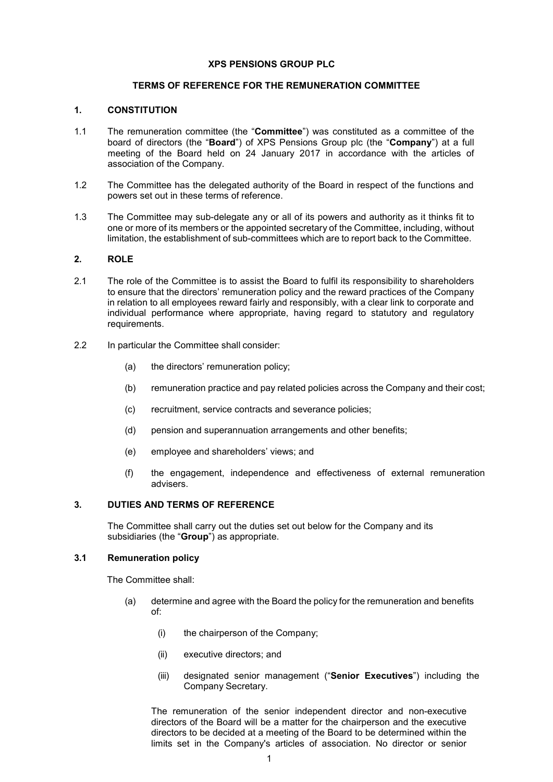#### **XPS PENSIONS GROUP PLC**

#### **TERMS OF REFERENCE FOR THE REMUNERATION COMMITTEE**

#### **1. CONSTITUTION**

- 1.1 The remuneration committee (the "**Committee**") was constituted as a committee of the board of directors (the "**Board**") of XPS Pensions Group plc (the "**Company**") at a full meeting of the Board held on 24 January 2017 in accordance with the articles of association of the Company.
- 1.2 The Committee has the delegated authority of the Board in respect of the functions and powers set out in these terms of reference.
- 1.3 The Committee may sub-delegate any or all of its powers and authority as it thinks fit to one or more of its members or the appointed secretary of the Committee, including, without limitation, the establishment of sub-committees which are to report back to the Committee.

### **2. ROLE**

- 2.1 The role of the Committee is to assist the Board to fulfil its responsibility to shareholders to ensure that the directors' remuneration policy and the reward practices of the Company in relation to all employees reward fairly and responsibly, with a clear link to corporate and individual performance where appropriate, having regard to statutory and regulatory requirements.
- 2.2 In particular the Committee shall consider:
	- (a) the directors' remuneration policy;
	- (b) remuneration practice and pay related policies across the Company and their cost;
	- (c) recruitment, service contracts and severance policies;
	- (d) pension and superannuation arrangements and other benefits;
	- (e) employee and shareholders' views; and
	- (f) the engagement, independence and effectiveness of external remuneration advisers.

# **3. DUTIES AND TERMS OF REFERENCE**

The Committee shall carry out the duties set out below for the Company and its subsidiaries (the "**Group**") as appropriate.

#### **3.1 Remuneration policy**

The Committee shall:

- (a) determine and agree with the Board the policy for the remuneration and benefits of:
	- (i) the chairperson of the Company;
	- (ii) executive directors; and
	- (iii) designated senior management ("**Senior Executives**") including the Company Secretary.

The remuneration of the senior independent director and non-executive directors of the Board will be a matter for the chairperson and the executive directors to be decided at a meeting of the Board to be determined within the limits set in the Company's articles of association. No director or senior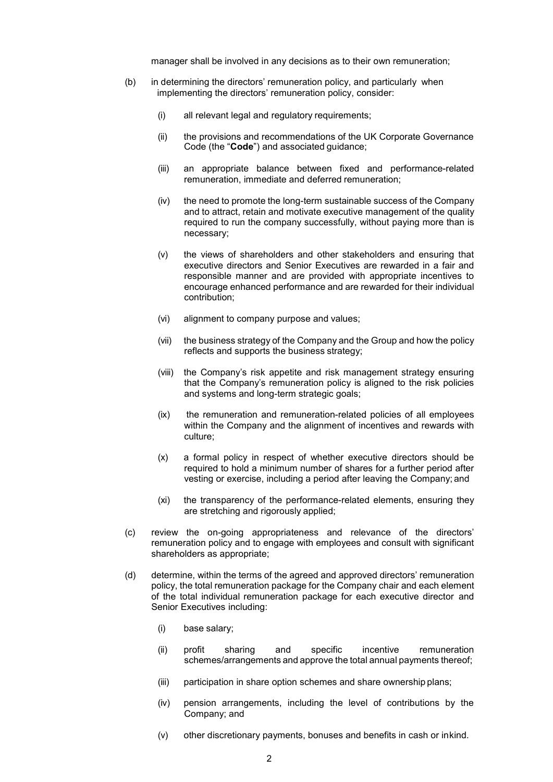manager shall be involved in any decisions as to their own remuneration;

- (b) in determining the directors' remuneration policy, and particularly when implementing the directors' remuneration policy, consider:
	- (i) all relevant legal and regulatory requirements;
	- (ii) the provisions and recommendations of the UK Corporate Governance Code (the "**Code**") and associated guidance;
	- (iii) an appropriate balance between fixed and performance-related remuneration, immediate and deferred remuneration;
	- (iv) the need to promote the long-term sustainable success of the Company and to attract, retain and motivate executive management of the quality required to run the company successfully, without paying more than is necessary;
	- (v) the views of shareholders and other stakeholders and ensuring that executive directors and Senior Executives are rewarded in a fair and responsible manner and are provided with appropriate incentives to encourage enhanced performance and are rewarded for their individual contribution;
	- (vi) alignment to company purpose and values;
	- (vii) the business strategy of the Company and the Group and how the policy reflects and supports the business strategy;
	- (viii) the Company's risk appetite and risk management strategy ensuring that the Company's remuneration policy is aligned to the risk policies and systems and long-term strategic goals;
	- (ix) the remuneration and remuneration-related policies of all employees within the Company and the alignment of incentives and rewards with culture;
	- (x) a formal policy in respect of whether executive directors should be required to hold a minimum number of shares for a further period after vesting or exercise, including a period after leaving the Company; and
	- (xi) the transparency of the performance-related elements, ensuring they are stretching and rigorously applied;
- (c) review the on-going appropriateness and relevance of the directors' remuneration policy and to engage with employees and consult with significant shareholders as appropriate;
- (d) determine, within the terms of the agreed and approved directors' remuneration policy, the total remuneration package for the Company chair and each element of the total individual remuneration package for each executive director and Senior Executives including:
	- (i) base salary;
	- (ii) profit sharing and specific incentive remuneration schemes/arrangements and approve the total annual payments thereof;
	- (iii) participation in share option schemes and share ownership plans;
	- (iv) pension arrangements, including the level of contributions by the Company; and
	- (v) other discretionary payments, bonuses and benefits in cash or inkind.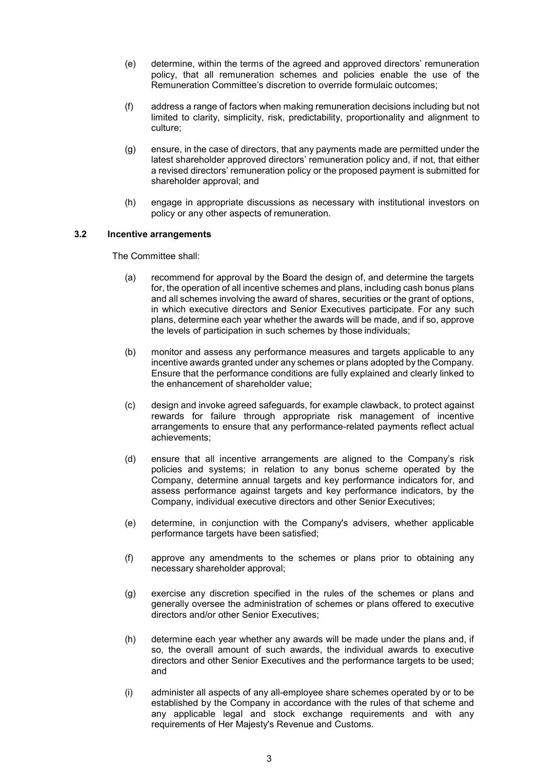- (e) determine, within the terms of the agreed and approved directors' remuneration policy, that all remuneration schemes and policies enable the use of the Remuneration Committee's discretion to override formulaic outcomes;
- (f) address a range of factors when making remuneration decisions including but not limited to clarity, simplicity, risk, predictability, proportionality and alignment to culture;
- (g) ensure, in the case of directors, that any payments made are permitted under the latest shareholder approved directors' remuneration policy and, if not, that either a revised directors' remuneration policy or the proposed payment is submitted for shareholder approval; and
- (h) engage in appropriate discussions as necessary with institutional investors on policy or any other aspects of remuneration.

## **3.2 Incentive arrangements**

The Committee shall:

- (a) recommend for approval by the Board the design of, and determine the targets for, the operation of all incentive schemes and plans, including cash bonus plans and all schemes involving the award of shares, securities or the grant of options, in which executive directors and Senior Executives participate. For any such plans, determine each year whether the awards will be made, and if so, approve the levels of participation in such schemes by those individuals;
- (b) monitor and assess any performance measures and targets applicable to any incentive awards granted under any schemes or plans adopted by the Company. Ensure that the performance conditions are fully explained and clearly linked to the enhancement of shareholder value;
- (c) design and invoke agreed safeguards, for example clawback, to protect against rewards for failure through appropriate risk management of incentive arrangements to ensure that any performance-related payments reflect actual achievements;
- (d) ensure that all incentive arrangements are aligned to the Company's risk policies and systems; in relation to any bonus scheme operated by the Company, determine annual targets and key performance indicators for, and assess performance against targets and key performance indicators, by the Company, individual executive directors and other Senior Executives;
- (e) determine, in conjunction with the Company's advisers, whether applicable performance targets have been satisfied;
- (f) approve any amendments to the schemes or plans prior to obtaining any necessary shareholder approval;
- (g) exercise any discretion specified in the rules of the schemes or plans and generally oversee the administration of schemes or plans offered to executive directors and/or other Senior Executives;
- (h) determine each year whether any awards will be made under the plans and, if so, the overall amount of such awards, the individual awards to executive directors and other Senior Executives and the performance targets to be used; and
- (i) administer all aspects of any all-employee share schemes operated by or to be established by the Company in accordance with the rules of that scheme and any applicable legal and stock exchange requirements and with any requirements of Her Majesty's Revenue and Customs.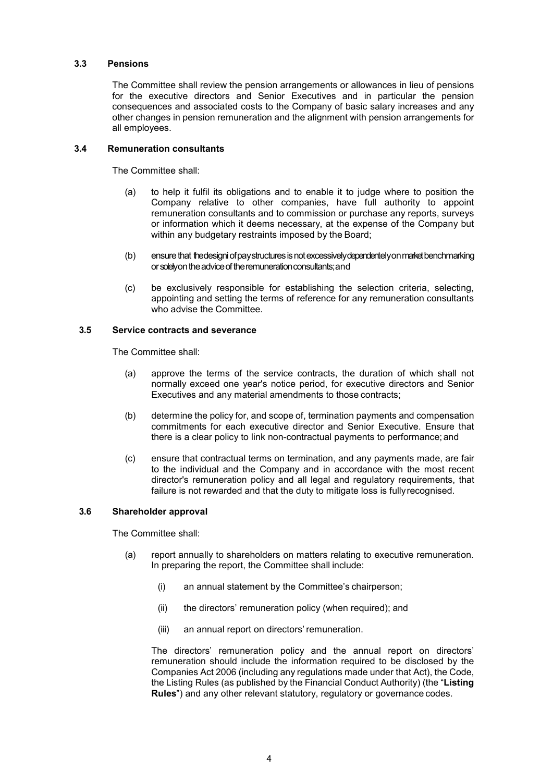### **3.3 Pensions**

The Committee shall review the pension arrangements or allowances in lieu of pensions for the executive directors and Senior Executives and in particular the pension consequences and associated costs to the Company of basic salary increases and any other changes in pension remuneration and the alignment with pension arrangements for all employees.

## **3.4 Remuneration consultants**

The Committee shall:

- (a) to help it fulfil its obligations and to enable it to judge where to position the Company relative to other companies, have full authority to appoint remuneration consultants and to commission or purchase any reports, surveys or information which it deems necessary, at the expense of the Company but within any budgetary restraints imposed by the Board;
- (b) ensure that the designiof paystructures is not excessively dependentely on market benchmarking or solely on the advice of the remuneration consultants; and
- (c) be exclusively responsible for establishing the selection criteria, selecting, appointing and setting the terms of reference for any remuneration consultants who advise the Committee.

### **3.5 Service contracts and severance**

The Committee shall:

- (a) approve the terms of the service contracts, the duration of which shall not normally exceed one year's notice period, for executive directors and Senior Executives and any material amendments to those contracts;
- (b) determine the policy for, and scope of, termination payments and compensation commitments for each executive director and Senior Executive. Ensure that there is a clear policy to link non-contractual payments to performance; and
- (c) ensure that contractual terms on termination, and any payments made, are fair to the individual and the Company and in accordance with the most recent director's remuneration policy and all legal and regulatory requirements, that failure is not rewarded and that the duty to mitigate loss is fullyrecognised.

# <span id="page-3-0"></span>**3.6 Shareholder approval**

The Committee shall:

- (a) report annually to shareholders on matters relating to executive remuneration. In preparing the report, the Committee shall include:
	- (i) an annual statement by the Committee's chairperson;
	- (ii) the directors' remuneration policy (when required); and
	- (iii) an annual report on directors' remuneration.

The directors' remuneration policy and the annual report on directors' remuneration should include the information required to be disclosed by the Companies Act 2006 (including any regulations made under that Act), the Code, the Listing Rules (as published by the Financial Conduct Authority) (the "**Listing Rules**") and any other relevant statutory, regulatory or governance codes.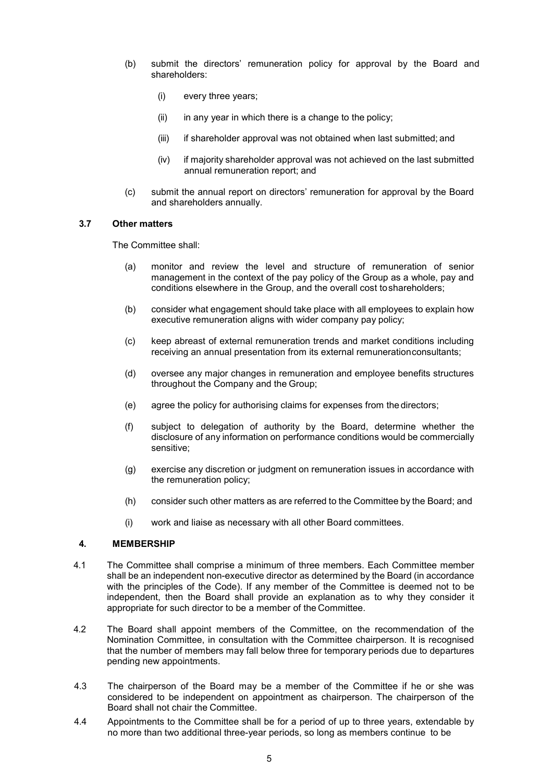- (b) submit the directors' remuneration policy for approval by the Board and shareholders:
	- (i) every three years;
	- $(ii)$  in any year in which there is a change to the policy;
	- (iii) if shareholder approval was not obtained when last submitted; and
	- (iv) if majority shareholder approval was not achieved on the last submitted annual remuneration report; and
- (c) submit the annual report on directors' remuneration for approval by the Board and shareholders annually.

# **3.7 Other matters**

The Committee shall:

- (a) monitor and review the level and structure of remuneration of senior management in the context of the pay policy of the Group as a whole, pay and conditions elsewhere in the Group, and the overall cost toshareholders;
- (b) consider what engagement should take place with all employees to explain how executive remuneration aligns with wider company pay policy;
- (c) keep abreast of external remuneration trends and market conditions including receiving an annual presentation from its external remunerationconsultants;
- (d) oversee any major changes in remuneration and employee benefits structures throughout the Company and the Group;
- (e) agree the policy for authorising claims for expenses from the directors;
- (f) subject to delegation of authority by the Board, determine whether the disclosure of any information on performance conditions would be commercially sensitive;
- (g) exercise any discretion or judgment on remuneration issues in accordance with the remuneration policy;
- (h) consider such other matters as are referred to the Committee by the Board; and
- (i) work and liaise as necessary with all other Board committees.

## **4. MEMBERSHIP**

- 4.1 The Committee shall comprise a minimum of three members. Each Committee member shall be an independent non-executive director as determined by the Board (in accordance with the principles of the Code). If any member of the Committee is deemed not to be independent, then the Board shall provide an explanation as to why they consider it appropriate for such director to be a member of the Committee.
- 4.2 The Board shall appoint members of the Committee, on the recommendation of the Nomination Committee, in consultation with the Committee chairperson. It is recognised that the number of members may fall below three for temporary periods due to departures pending new appointments.
- 4.3 The chairperson of the Board may be a member of the Committee if he or she was considered to be independent on appointment as chairperson. The chairperson of the Board shall not chair the Committee.
- 4.4 Appointments to the Committee shall be for a period of up to three years, extendable by no more than two additional three-year periods, so long as members continue to be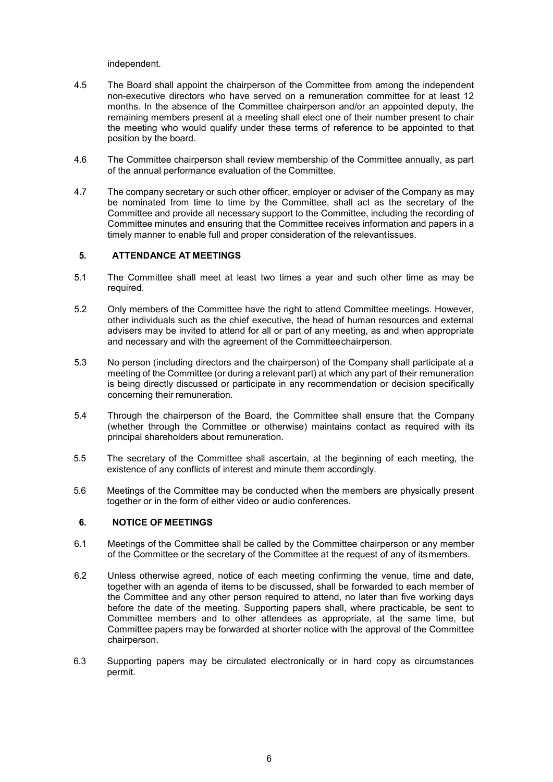independent.

- 4.5 The Board shall appoint the chairperson of the Committee from among the independent non-executive directors who have served on a remuneration committee for at least 12 months. In the absence of the Committee chairperson and/or an appointed deputy, the remaining members present at a meeting shall elect one of their number present to chair the meeting who would qualify under these terms of reference to be appointed to that position by the board.
- 4.6 The Committee chairperson shall review membership of the Committee annually, as part of the annual performance evaluation of the Committee.
- 4.7 The company secretary or such other officer, employer or adviser of the Company as may be nominated from time to time by the Committee, shall act as the secretary of the Committee and provide all necessary support to the Committee, including the recording of Committee minutes and ensuring that the Committee receives information and papers in a timely manner to enable full and proper consideration of the relevantissues.

### **5. ATTENDANCE AT MEETINGS**

- 5.1 The Committee shall meet at least two times a year and such other time as may be required.
- 5.2 Only members of the Committee have the right to attend Committee meetings. However, other individuals such as the chief executive, the head of human resources and external advisers may be invited to attend for all or part of any meeting, as and when appropriate and necessary and with the agreement of the Committeechairperson.
- 5.3 No person (including directors and the chairperson) of the Company shall participate at a meeting of the Committee (or during a relevant part) at which any part of their remuneration is being directly discussed or participate in any recommendation or decision specifically concerning their remuneration.
- 5.4 Through the chairperson of the Board, the Committee shall ensure that the Company (whether through the Committee or otherwise) maintains contact as required with its principal shareholders about remuneration.
- 5.5 The secretary of the Committee shall ascertain, at the beginning of each meeting, the existence of any conflicts of interest and minute them accordingly.
- 5.6 Meetings of the Committee may be conducted when the members are physically present together or in the form of either video or audio conferences.

### **6. NOTICE OFMEETINGS**

- 6.1 Meetings of the Committee shall be called by the Committee chairperson or any member of the Committee or the secretary of the Committee at the request of any of itsmembers.
- 6.2 Unless otherwise agreed, notice of each meeting confirming the venue, time and date, together with an agenda of items to be discussed, shall be forwarded to each member of the Committee and any other person required to attend, no later than five working days before the date of the meeting. Supporting papers shall, where practicable, be sent to Committee members and to other attendees as appropriate, at the same time, but Committee papers may be forwarded at shorter notice with the approval of the Committee chairperson.
- 6.3 Supporting papers may be circulated electronically or in hard copy as circumstances permit.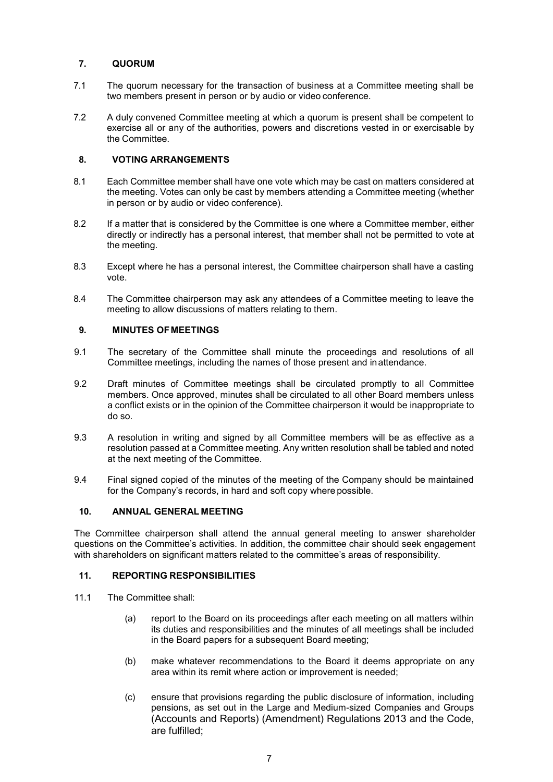# **7. QUORUM**

- 7.1 The quorum necessary for the transaction of business at a Committee meeting shall be two members present in person or by audio or video conference.
- 7.2 A duly convened Committee meeting at which a quorum is present shall be competent to exercise all or any of the authorities, powers and discretions vested in or exercisable by the Committee.

# **8. VOTING ARRANGEMENTS**

- 8.1 Each Committee member shall have one vote which may be cast on matters considered at the meeting. Votes can only be cast by members attending a Committee meeting (whether in person or by audio or video conference).
- 8.2 If a matter that is considered by the Committee is one where a Committee member, either directly or indirectly has a personal interest, that member shall not be permitted to vote at the meeting.
- 8.3 Except where he has a personal interest, the Committee chairperson shall have a casting vote.
- 8.4 The Committee chairperson may ask any attendees of a Committee meeting to leave the meeting to allow discussions of matters relating to them.

## **9. MINUTES OFMEETINGS**

- 9.1 The secretary of the Committee shall minute the proceedings and resolutions of all Committee meetings, including the names of those present and inattendance.
- 9.2 Draft minutes of Committee meetings shall be circulated promptly to all Committee members. Once approved, minutes shall be circulated to all other Board members unless a conflict exists or in the opinion of the Committee chairperson it would be inappropriate to do so.
- 9.3 A resolution in writing and signed by all Committee members will be as effective as a resolution passed at a Committee meeting. Any written resolution shall be tabled and noted at the next meeting of the Committee.
- 9.4 Final signed copied of the minutes of the meeting of the Company should be maintained for the Company's records, in hard and soft copy where possible.

# **10. ANNUAL GENERAL MEETING**

The Committee chairperson shall attend the annual general meeting to answer shareholder questions on the Committee's activities. In addition, the committee chair should seek engagement with shareholders on significant matters related to the committee's areas of responsibility.

## **11. REPORTING RESPONSIBILITIES**

- 11.1 The Committee shall:
	- (a) report to the Board on its proceedings after each meeting on all matters within its duties and responsibilities and the minutes of all meetings shall be included in the Board papers for a subsequent Board meeting;
	- (b) make whatever recommendations to the Board it deems appropriate on any area within its remit where action or improvement is needed;
	- (c) ensure that provisions regarding the public disclosure of information, including pensions, as set out in the Large and Medium-sized Companies and Groups (Accounts and Reports) (Amendment) Regulations 2013 and the Code, are fulfilled;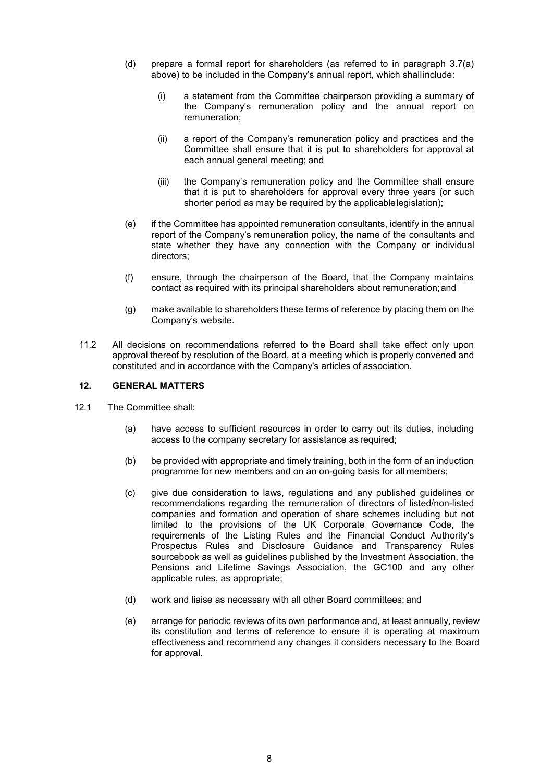- (d) prepare a formal report for shareholders (as referred to in paragraph [3.7\(a\)](#page-3-0) above) to be included in the Company's annual report, which shallinclude:
	- (i) a statement from the Committee chairperson providing a summary of the Company's remuneration policy and the annual report on remuneration;
	- (ii) a report of the Company's remuneration policy and practices and the Committee shall ensure that it is put to shareholders for approval at each annual general meeting; and
	- (iii) the Company's remuneration policy and the Committee shall ensure that it is put to shareholders for approval every three years (or such shorter period as may be required by the applicablelegislation);
- (e) if the Committee has appointed remuneration consultants, identify in the annual report of the Company's remuneration policy, the name of the consultants and state whether they have any connection with the Company or individual directors;
- (f) ensure, through the chairperson of the Board, that the Company maintains contact as required with its principal shareholders about remuneration;and
- (g) make available to shareholders these terms of reference by placing them on the Company's website.
- 11.2 All decisions on recommendations referred to the Board shall take effect only upon approval thereof by resolution of the Board, at a meeting which is properly convened and constituted and in accordance with the Company's articles of association.

### **12. GENERAL MATTERS**

- 12.1 The Committee shall:
	- (a) have access to sufficient resources in order to carry out its duties, including access to the company secretary for assistance as required;
	- (b) be provided with appropriate and timely training, both in the form of an induction programme for new members and on an on-going basis for all members;
	- (c) give due consideration to laws, regulations and any published guidelines or recommendations regarding the remuneration of directors of listed/non-listed companies and formation and operation of share schemes including but not limited to the provisions of the UK Corporate Governance Code, the requirements of the Listing Rules and the Financial Conduct Authority's Prospectus Rules and Disclosure Guidance and Transparency Rules sourcebook as well as guidelines published by the Investment Association, the Pensions and Lifetime Savings Association, the GC100 and any other applicable rules, as appropriate;
	- (d) work and liaise as necessary with all other Board committees; and
	- (e) arrange for periodic reviews of its own performance and, at least annually, review its constitution and terms of reference to ensure it is operating at maximum effectiveness and recommend any changes it considers necessary to the Board for approval.